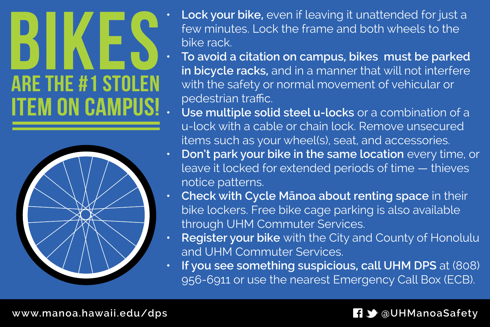## **BIKES** ARE THE #1 STOLEN **ITEM ON CAMPUS!**



- **• Lock your bike,** even if leaving it unattended for just a few minutes. Lock the frame and both wheels to the bike rack.
- **• To avoid a citation on campus, bikes must be parked in bicycle racks,** and in a manner that will not interfere with the safety or normal movement of vehicular or pedestrian traffic.
- **• Use multiple solid steel u-locks** or a combination of a u-lock with a cable or chain lock. Remove unsecured items such as your wheel(s), seat, and accessories.
- **• Don't park your bike in the same location** every time, or leave it locked for extended periods of time — thieves notice patterns.
- **• Check with Cycle Mānoa about renting space** in their bike lockers. Free bike cage parking is also available through UHM Commuter Services.
- **• Register your bike** with the City and County of Honolulu and UHM Commuter Services.
- **• If you see something suspicious, call UHM DPS** at (808) 956-6911 or use the nearest Emergency Call Box (ECB).

## **www.manoa.hawaii.edu/dps @UHManoaSafety**